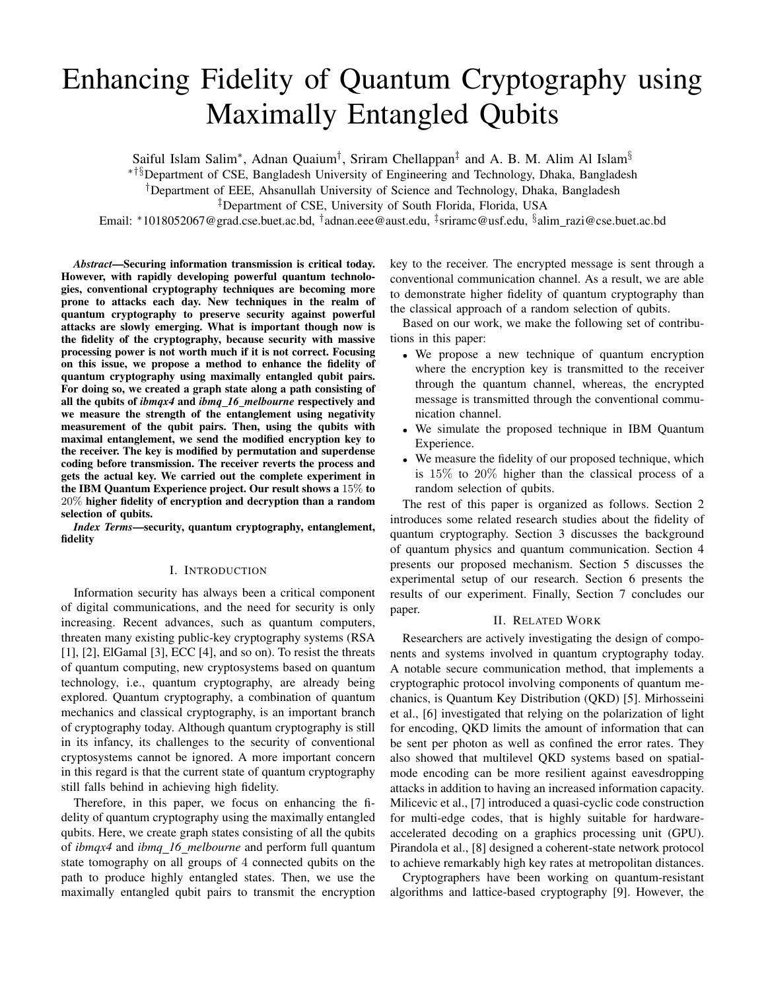# Enhancing Fidelity of Quantum Cryptography using Maximally Entangled Qubits

Saiful Islam Salim*∗* , Adnan Quaium*†* , Sriram Chellappan*‡* and A. B. M. Alim Al Islam*§*

*∗†§*Department of CSE, Bangladesh University of Engineering and Technology, Dhaka, Bangladesh

*†*Department of EEE, Ahsanullah University of Science and Technology, Dhaka, Bangladesh

*‡*Department of CSE, University of South Florida, Florida, USA

Email: *∗*1018052067@grad.cse.buet.ac.bd, *†* adnan.eee@aust.edu, *‡* sriramc@usf.edu, *§* alim razi@cse.buet.ac.bd

*Abstract*—Securing information transmission is critical today. However, with rapidly developing powerful quantum technologies, conventional cryptography techniques are becoming more prone to attacks each day. New techniques in the realm of quantum cryptography to preserve security against powerful attacks are slowly emerging. What is important though now is the fidelity of the cryptography, because security with massive processing power is not worth much if it is not correct. Focusing on this issue, we propose a method to enhance the fidelity of quantum cryptography using maximally entangled qubit pairs. For doing so, we created a graph state along a path consisting of all the qubits of *ibmqx4* and *ibmq 16 melbourne* respectively and we measure the strength of the entanglement using negativity measurement of the qubit pairs. Then, using the qubits with maximal entanglement, we send the modified encryption key to the receiver. The key is modified by permutation and superdense coding before transmission. The receiver reverts the process and gets the actual key. We carried out the complete experiment in the IBM Quantum Experience project. Our result shows a 15% to 20% higher fidelity of encryption and decryption than a random selection of qubits.

*Index Terms*—security, quantum cryptography, entanglement, fidelity

#### I. INTRODUCTION

Information security has always been a critical component of digital communications, and the need for security is only increasing. Recent advances, such as quantum computers, threaten many existing public-key cryptography systems (RSA [1], [2], ElGamal [3], ECC [4], and so on). To resist the threats of quantum computing, new cryptosystems based on quantum technology, i.e., quantum cryptography, are already being explored. Quantum cryptography, a combination of quantum mechanics and classical cryptography, is an important branch of cryptography today. Although quantum cryptography is still in its infancy, its challenges to the security of conventional cryptosystems cannot be ignored. A more important concern in this regard is that the current state of quantum cryptography still falls behind in achieving high fidelity.

Therefore, in this paper, we focus on enhancing the fidelity of quantum cryptography using the maximally entangled qubits. Here, we create graph states consisting of all the qubits of *ibmqx4* and *ibmq 16 melbourne* and perform full quantum state tomography on all groups of 4 connected qubits on the path to produce highly entangled states. Then, we use the maximally entangled qubit pairs to transmit the encryption key to the receiver. The encrypted message is sent through a conventional communication channel. As a result, we are able to demonstrate higher fidelity of quantum cryptography than the classical approach of a random selection of qubits.

Based on our work, we make the following set of contributions in this paper:

- *•* We propose a new technique of quantum encryption where the encryption key is transmitted to the receiver through the quantum channel, whereas, the encrypted message is transmitted through the conventional communication channel.
- *•* We simulate the proposed technique in IBM Quantum Experience.
- We measure the fidelity of our proposed technique, which is 15% to 20% higher than the classical process of a random selection of qubits.

The rest of this paper is organized as follows. Section 2 introduces some related research studies about the fidelity of quantum cryptography. Section 3 discusses the background of quantum physics and quantum communication. Section 4 presents our proposed mechanism. Section 5 discusses the experimental setup of our research. Section 6 presents the results of our experiment. Finally, Section 7 concludes our paper.

# II. RELATED WORK

Researchers are actively investigating the design of components and systems involved in quantum cryptography today. A notable secure communication method, that implements a cryptographic protocol involving components of quantum mechanics, is Quantum Key Distribution (QKD) [5]. Mirhosseini et al., [6] investigated that relying on the polarization of light for encoding, QKD limits the amount of information that can be sent per photon as well as confined the error rates. They also showed that multilevel QKD systems based on spatialmode encoding can be more resilient against eavesdropping attacks in addition to having an increased information capacity. Milicevic et al., [7] introduced a quasi-cyclic code construction for multi-edge codes, that is highly suitable for hardwareaccelerated decoding on a graphics processing unit (GPU). Pirandola et al., [8] designed a coherent-state network protocol to achieve remarkably high key rates at metropolitan distances.

Cryptographers have been working on quantum-resistant algorithms and lattice-based cryptography [9]. However, the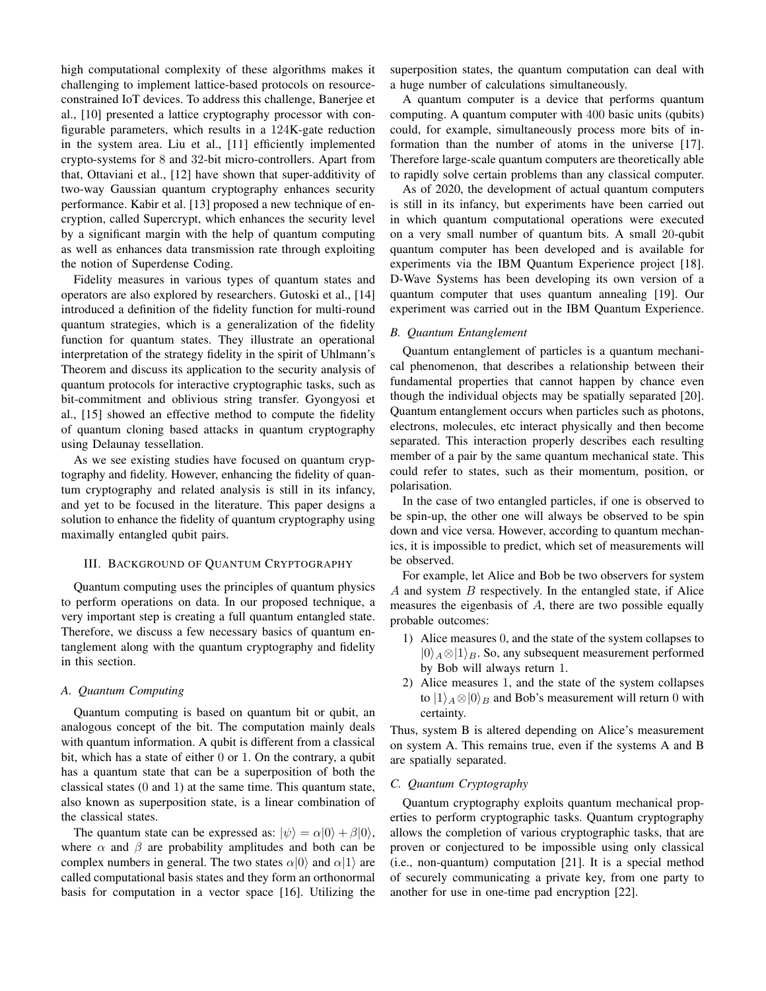high computational complexity of these algorithms makes it challenging to implement lattice-based protocols on resourceconstrained IoT devices. To address this challenge, Banerjee et al., [10] presented a lattice cryptography processor with configurable parameters, which results in a 124K-gate reduction in the system area. Liu et al., [11] efficiently implemented crypto-systems for 8 and 32-bit micro-controllers. Apart from that, Ottaviani et al., [12] have shown that super-additivity of two-way Gaussian quantum cryptography enhances security performance. Kabir et al. [13] proposed a new technique of encryption, called Supercrypt, which enhances the security level by a significant margin with the help of quantum computing as well as enhances data transmission rate through exploiting the notion of Superdense Coding.

Fidelity measures in various types of quantum states and operators are also explored by researchers. Gutoski et al., [14] introduced a definition of the fidelity function for multi-round quantum strategies, which is a generalization of the fidelity function for quantum states. They illustrate an operational interpretation of the strategy fidelity in the spirit of Uhlmann's Theorem and discuss its application to the security analysis of quantum protocols for interactive cryptographic tasks, such as bit-commitment and oblivious string transfer. Gyongyosi et al., [15] showed an effective method to compute the fidelity of quantum cloning based attacks in quantum cryptography using Delaunay tessellation.

As we see existing studies have focused on quantum cryptography and fidelity. However, enhancing the fidelity of quantum cryptography and related analysis is still in its infancy, and yet to be focused in the literature. This paper designs a solution to enhance the fidelity of quantum cryptography using maximally entangled qubit pairs.

#### III. BACKGROUND OF QUANTUM CRYPTOGRAPHY

Quantum computing uses the principles of quantum physics to perform operations on data. In our proposed technique, a very important step is creating a full quantum entangled state. Therefore, we discuss a few necessary basics of quantum entanglement along with the quantum cryptography and fidelity in this section.

#### *A. Quantum Computing*

Quantum computing is based on quantum bit or qubit, an analogous concept of the bit. The computation mainly deals with quantum information. A qubit is different from a classical bit, which has a state of either 0 or 1. On the contrary, a qubit has a quantum state that can be a superposition of both the classical states (0 and 1) at the same time. This quantum state, also known as superposition state, is a linear combination of the classical states.

The quantum state can be expressed as:  $|\psi\rangle = \alpha|0\rangle + \beta|0\rangle$ , where  $\alpha$  and  $\beta$  are probability amplitudes and both can be complex numbers in general. The two states  $\alpha|0\rangle$  and  $\alpha|1\rangle$  are called computational basis states and they form an orthonormal basis for computation in a vector space [16]. Utilizing the superposition states, the quantum computation can deal with a huge number of calculations simultaneously.

A quantum computer is a device that performs quantum computing. A quantum computer with 400 basic units (qubits) could, for example, simultaneously process more bits of information than the number of atoms in the universe [17]. Therefore large-scale quantum computers are theoretically able to rapidly solve certain problems than any classical computer.

As of 2020, the development of actual quantum computers is still in its infancy, but experiments have been carried out in which quantum computational operations were executed on a very small number of quantum bits. A small 20-qubit quantum computer has been developed and is available for experiments via the IBM Quantum Experience project [18]. D-Wave Systems has been developing its own version of a quantum computer that uses quantum annealing [19]. Our experiment was carried out in the IBM Quantum Experience.

#### *B. Quantum Entanglement*

Quantum entanglement of particles is a quantum mechanical phenomenon, that describes a relationship between their fundamental properties that cannot happen by chance even though the individual objects may be spatially separated [20]. Quantum entanglement occurs when particles such as photons, electrons, molecules, etc interact physically and then become separated. This interaction properly describes each resulting member of a pair by the same quantum mechanical state. This could refer to states, such as their momentum, position, or polarisation.

In the case of two entangled particles, if one is observed to be spin-up, the other one will always be observed to be spin down and vice versa. However, according to quantum mechanics, it is impossible to predict, which set of measurements will be observed.

For example, let Alice and Bob be two observers for system *A* and system *B* respectively. In the entangled state, if Alice measures the eigenbasis of *A*, there are two possible equally probable outcomes:

- 1) Alice measures 0, and the state of the system collapses to *|*0*⟩<sup>A</sup> ⊗|*1*⟩B*. So, any subsequent measurement performed by Bob will always return 1.
- 2) Alice measures 1, and the state of the system collapses to  $|1\rangle_A \otimes |0\rangle_B$  and Bob's measurement will return 0 with certainty.

Thus, system B is altered depending on Alice's measurement on system A. This remains true, even if the systems A and B are spatially separated.

# *C. Quantum Cryptography*

Quantum cryptography exploits quantum mechanical properties to perform cryptographic tasks. Quantum cryptography allows the completion of various cryptographic tasks, that are proven or conjectured to be impossible using only classical (i.e., non-quantum) computation [21]. It is a special method of securely communicating a private key, from one party to another for use in one-time pad encryption [22].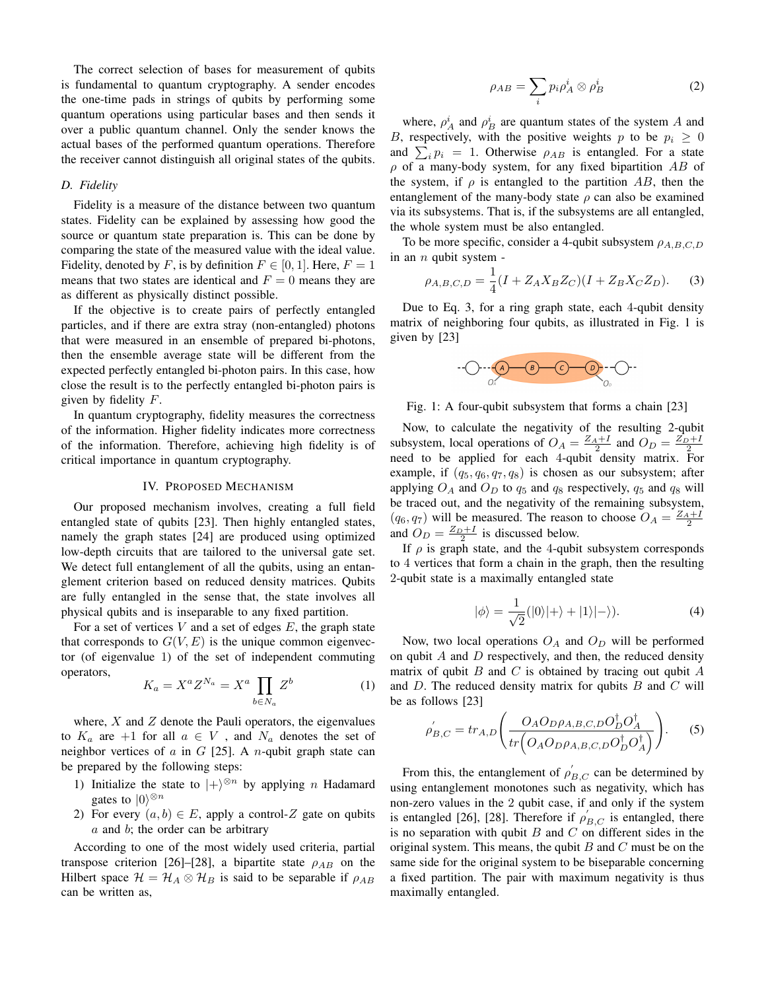The correct selection of bases for measurement of qubits is fundamental to quantum cryptography. A sender encodes the one-time pads in strings of qubits by performing some quantum operations using particular bases and then sends it over a public quantum channel. Only the sender knows the actual bases of the performed quantum operations. Therefore the receiver cannot distinguish all original states of the qubits.

#### *D. Fidelity*

Fidelity is a measure of the distance between two quantum states. Fidelity can be explained by assessing how good the source or quantum state preparation is. This can be done by comparing the state of the measured value with the ideal value. Fidelity, denoted by *F*, is by definition  $F \in [0, 1]$ . Here,  $F = 1$ means that two states are identical and  $F = 0$  means they are as different as physically distinct possible.

If the objective is to create pairs of perfectly entangled particles, and if there are extra stray (non-entangled) photons that were measured in an ensemble of prepared bi-photons, then the ensemble average state will be different from the expected perfectly entangled bi-photon pairs. In this case, how close the result is to the perfectly entangled bi-photon pairs is given by fidelity *F*.

In quantum cryptography, fidelity measures the correctness of the information. Higher fidelity indicates more correctness of the information. Therefore, achieving high fidelity is of critical importance in quantum cryptography.

#### IV. PROPOSED MECHANISM

Our proposed mechanism involves, creating a full field entangled state of qubits [23]. Then highly entangled states, namely the graph states [24] are produced using optimized low-depth circuits that are tailored to the universal gate set. We detect full entanglement of all the qubits, using an entanglement criterion based on reduced density matrices. Qubits are fully entangled in the sense that, the state involves all physical qubits and is inseparable to any fixed partition.

For a set of vertices *V* and a set of edges *E*, the graph state that corresponds to  $G(V, E)$  is the unique common eigenvector (of eigenvalue 1) of the set of independent commuting operators,

$$
K_a = X^a Z^{N_a} = X^a \prod_{b \in N_a} Z^b \tag{1}
$$

where,  $X$  and  $Z$  denote the Pauli operators, the eigenvalues to  $K_a$  are  $+1$  for all  $a \in V$ , and  $N_a$  denotes the set of neighbor vertices of *a* in *G* [25]. A *n*-qubit graph state can be prepared by the following steps:

- 1) Initialize the state to  $|+\rangle^{\otimes n}$  by applying *n* Hadamard gates to  $|0\rangle^{\otimes n}$
- 2) For every  $(a, b) \in E$ , apply a control-Z gate on qubits *a* and *b*; the order can be arbitrary

According to one of the most widely used criteria, partial transpose criterion [26]–[28], a bipartite state  $\rho_{AB}$  on the Hilbert space  $\mathcal{H} = \mathcal{H}_A \otimes \mathcal{H}_B$  is said to be separable if  $\rho_{AB}$ can be written as,

$$
\rho_{AB} = \sum_{i} p_i \rho_A^i \otimes \rho_B^i \tag{2}
$$

where,  $\rho_A^i$  and  $\rho_B^i$  are quantum states of the system *A* and *B*, respectively, with the positive weights *p* to be  $p_i \geq 0$ and  $\sum_i p_i = 1$ . Otherwise  $\rho_{AB}$  is entangled. For a state *ρ* of a many-body system, for any fixed bipartition *AB* of the system, if  $\rho$  is entangled to the partition AB, then the entanglement of the many-body state  $\rho$  can also be examined via its subsystems. That is, if the subsystems are all entangled, the whole system must be also entangled.

To be more specific, consider a 4-qubit subsystem *ρA,B,C,D* in an *n* qubit system -

$$
\rho_{A,B,C,D} = \frac{1}{4}(I + Z_A X_B Z_C)(I + Z_B X_C Z_D). \tag{3}
$$

Due to Eq. 3, for a ring graph state, each 4-qubit density matrix of neighboring four qubits, as illustrated in Fig. 1 is given by [23]



Fig. 1: A four-qubit subsystem that forms a chain [23]

Now, to calculate the negativity of the resulting 2-qubit subsystem, local operations of  $O_A = \frac{Z_A + I}{2}$  and  $O_D = \frac{Z_D + I}{2}$ need to be applied for each 4-qubit density matrix. For example, if  $(q_5, q_6, q_7, q_8)$  is chosen as our subsystem; after applying  $O_A$  and  $O_D$  to  $q_5$  and  $q_8$  respectively,  $q_5$  and  $q_8$  will be traced out, and the negativity of the remaining subsystem,  $(q_6, q_7)$  will be measured. The reason to choose  $O_A = \frac{Z_A + I}{2}$ and  $O_D = \frac{Z_D + I}{2}$  is discussed below.

If *ρ* is graph state, and the 4-qubit subsystem corresponds to 4 vertices that form a chain in the graph, then the resulting 2-qubit state is a maximally entangled state

$$
|\phi\rangle = \frac{1}{\sqrt{2}}(|0\rangle|+\rangle + |1\rangle|-\rangle). \tag{4}
$$

Now, two local operations  $O_A$  and  $O_D$  will be performed on qubit *A* and *D* respectively, and then, the reduced density matrix of qubit *B* and *C* is obtained by tracing out qubit *A* and *D*. The reduced density matrix for qubits *B* and *C* will be as follows [23]

$$
\rho'_{B,C} = tr_{A,D} \left( \frac{O_A O_D \rho_{A,B,C,D} O_D^{\dagger} O_A^{\dagger}}{tr \left( O_A O_D \rho_{A,B,C,D} O_D^{\dagger} O_A^{\dagger} \right)} \right). \tag{5}
$$

From this, the entanglement of  $\rho'_{B,C}$  can be determined by using entanglement monotones such as negativity, which has non-zero values in the 2 qubit case, if and only if the system is entangled [26], [28]. Therefore if  $\rho'_{B,C}$  is entangled, there is no separation with qubit *B* and *C* on different sides in the original system. This means, the qubit *B* and *C* must be on the same side for the original system to be biseparable concerning a fixed partition. The pair with maximum negativity is thus maximally entangled.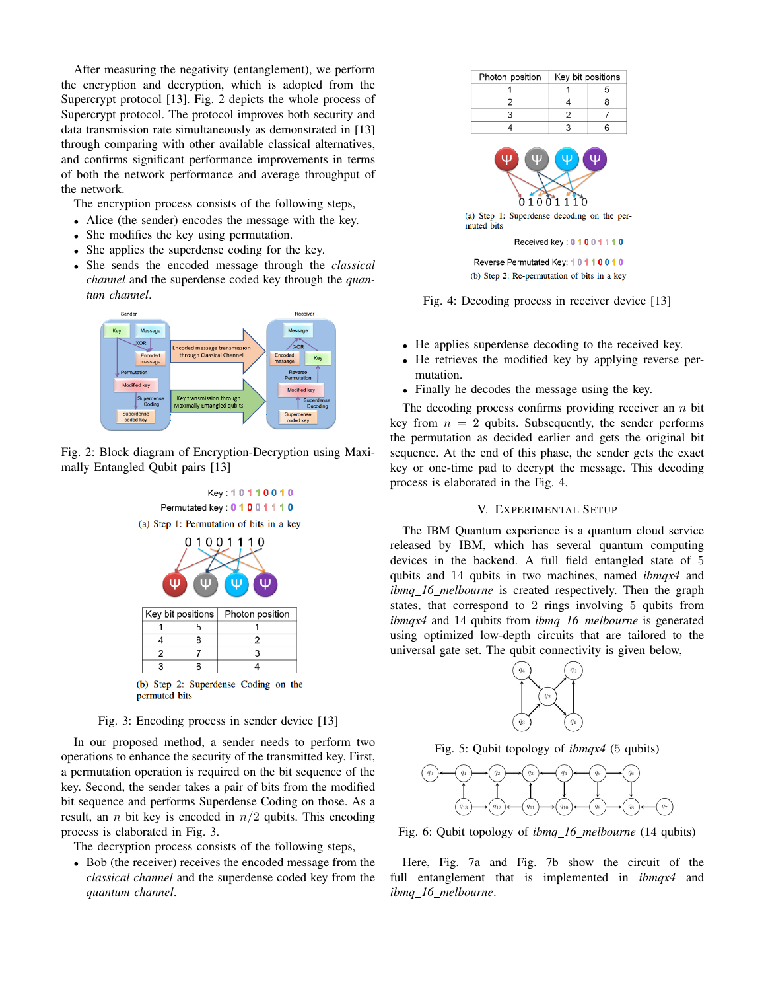After measuring the negativity (entanglement), we perform the encryption and decryption, which is adopted from the Supercrypt protocol [13]. Fig. 2 depicts the whole process of Supercrypt protocol. The protocol improves both security and data transmission rate simultaneously as demonstrated in [13] through comparing with other available classical alternatives, and confirms significant performance improvements in terms of both the network performance and average throughput of the network.

The encryption process consists of the following steps,

- Alice (the sender) encodes the message with the key.
- She modifies the key using permutation.
- She applies the superdense coding for the key.
- *•* She sends the encoded message through the *classical channel* and the superdense coded key through the *quantum channel*.



Fig. 2: Block diagram of Encryption-Decryption using Maximally Entangled Qubit pairs [13]



(b) Step 2: Superdense Coding on the permuted bits

# Fig. 3: Encoding process in sender device [13]

In our proposed method, a sender needs to perform two operations to enhance the security of the transmitted key. First, a permutation operation is required on the bit sequence of the key. Second, the sender takes a pair of bits from the modified bit sequence and performs Superdense Coding on those. As a result, an *n* bit key is encoded in *n/*2 qubits. This encoding process is elaborated in Fig. 3.

The decryption process consists of the following steps,

*•* Bob (the receiver) receives the encoded message from the *classical channel* and the superdense coded key from the *quantum channel*.



(a) Step 1: Superdense decoding on the permuted bits

Received key: 0 1 0 0 1 1 1 0

Reverse Permutated Key: 10110010 (b) Step 2: Re-permutation of bits in a key



- *•* He applies superdense decoding to the received key.
- *•* He retrieves the modified key by applying reverse permutation.
- Finally he decodes the message using the key.

The decoding process confirms providing receiver an *n* bit key from  $n = 2$  qubits. Subsequently, the sender performs the permutation as decided earlier and gets the original bit sequence. At the end of this phase, the sender gets the exact key or one-time pad to decrypt the message. This decoding process is elaborated in the Fig. 4.

# V. EXPERIMENTAL SETUP

The IBM Quantum experience is a quantum cloud service released by IBM, which has several quantum computing devices in the backend. A full field entangled state of 5 qubits and 14 qubits in two machines, named *ibmqx4* and *ibmq 16 melbourne* is created respectively. Then the graph states, that correspond to 2 rings involving 5 qubits from *ibmqx4* and 14 qubits from *ibmq 16 melbourne* is generated using optimized low-depth circuits that are tailored to the universal gate set. The qubit connectivity is given below,



Fig. 5: Qubit topology of *ibmqx4* (5 qubits)



Fig. 6: Qubit topology of *ibmq 16 melbourne* (14 qubits)

Here, Fig. 7a and Fig. 7b show the circuit of the full entanglement that is implemented in *ibmqx4* and *ibmq 16 melbourne*.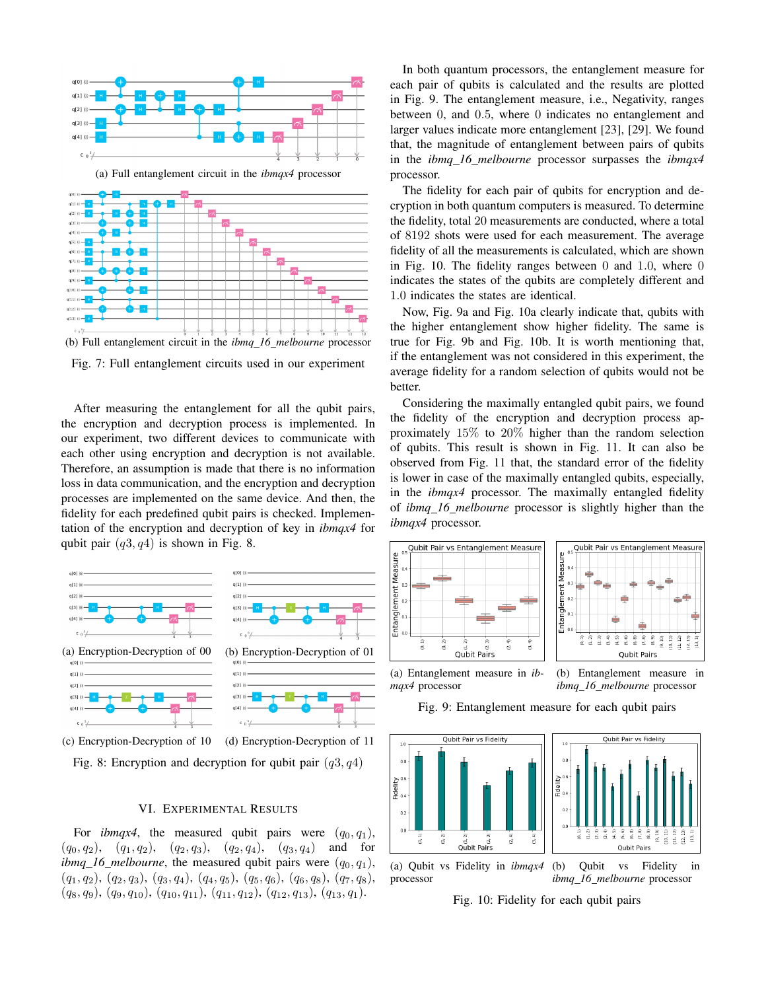

Fig. 7: Full entanglement circuits used in our experiment

After measuring the entanglement for all the qubit pairs, the encryption and decryption process is implemented. In our experiment, two different devices to communicate with each other using encryption and decryption is not available. Therefore, an assumption is made that there is no information loss in data communication, and the encryption and decryption processes are implemented on the same device. And then, the fidelity for each predefined qubit pairs is checked. Implementation of the encryption and decryption of key in *ibmqx4* for qubit pair (*q*3*, q*4) is shown in Fig. 8.



(c) Encryption-Decryption of 10 (d) Encryption-Decryption of 11 Fig. 8: Encryption and decryption for qubit pair (*q*3*, q*4)

#### VI. EXPERIMENTAL RESULTS

For *ibmqx4*, the measured qubit pairs were  $(q_0, q_1)$ ,  $(q_0, q_2)$ ,  $(q_1, q_2)$ ,  $(q_2, q_3)$ ,  $(q_2, q_4)$ ,  $(q_3, q_4)$  and for *ibmq\_16\_melbourne*, the measured qubit pairs were  $(q_0, q_1)$ , (*q*1*, q*2), (*q*2*, q*3), (*q*3*, q*4), (*q*4*, q*5), (*q*5*, q*6), (*q*6*, q*8), (*q*7*, q*8), (*q*8*, q*9), (*q*9*, q*10), (*q*10*, q*11), (*q*11*, q*12), (*q*12*, q*13), (*q*13*, q*1).

In both quantum processors, the entanglement measure for each pair of qubits is calculated and the results are plotted in Fig. 9. The entanglement measure, i.e., Negativity, ranges between 0, and 0*.*5, where 0 indicates no entanglement and larger values indicate more entanglement [23], [29]. We found that, the magnitude of entanglement between pairs of qubits in the *ibmq 16 melbourne* processor surpasses the *ibmqx4* processor.

The fidelity for each pair of qubits for encryption and decryption in both quantum computers is measured. To determine the fidelity, total 20 measurements are conducted, where a total of 8192 shots were used for each measurement. The average fidelity of all the measurements is calculated, which are shown in Fig. 10. The fidelity ranges between 0 and 1*.*0, where 0 indicates the states of the qubits are completely different and 1*.*0 indicates the states are identical.

Now, Fig. 9a and Fig. 10a clearly indicate that, qubits with the higher entanglement show higher fidelity. The same is true for Fig. 9b and Fig. 10b. It is worth mentioning that, if the entanglement was not considered in this experiment, the average fidelity for a random selection of qubits would not be better.

Considering the maximally entangled qubit pairs, we found the fidelity of the encryption and decryption process approximately 15% to 20% higher than the random selection of qubits. This result is shown in Fig. 11. It can also be observed from Fig. 11 that, the standard error of the fidelity is lower in case of the maximally entangled qubits, especially, in the *ibmqx4* processor. The maximally entangled fidelity of *ibmq 16 melbourne* processor is slightly higher than the *ibmqx4* processor.





(a) Entanglement measure in *ibmqx4* processor

(b) Entanglement measure in *ibmq 16 melbourne* processor

Fig. 9: Entanglement measure for each qubit pairs



Fig. 10: Fidelity for each qubit pairs